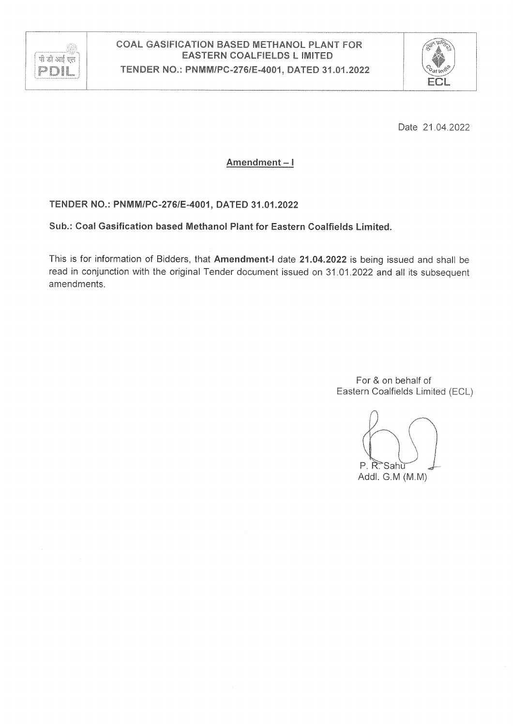



Date 21.04.2022

Amendment-I

#### TENDER NO.: PNMM/PC-276/E-4001, DATED 31.01.2022

#### Sub.: Coal Gasification based Methanol Plant for Eastern Coalfields Limited.

This is for information of Bidders, that Amendment-I date 21.04.2022 is being issued and shall be read in conjunction with the original Tender document issued on 31.01.2022 and all its subsequent amendments.

> For & on behalf of Eastern Coalfields Limited (ECL)

P. R. Sahu Addl. G.M (M.M)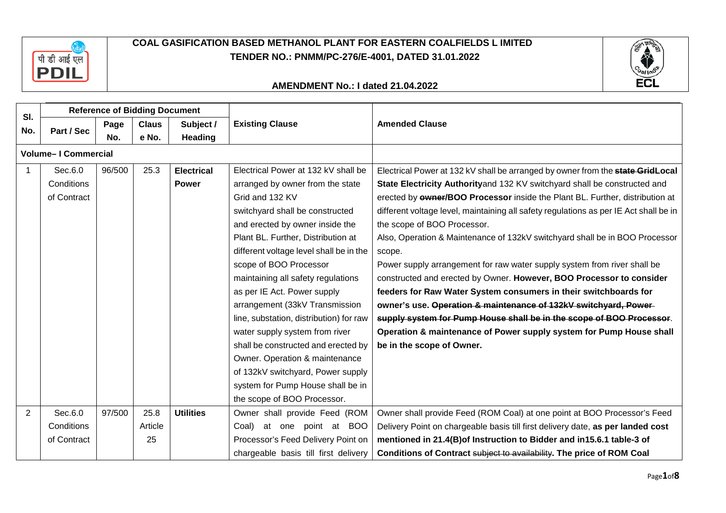



|                            |             | <b>Reference of Bidding Document</b> |              |                                   |                                                 |                                                                                       |  |
|----------------------------|-------------|--------------------------------------|--------------|-----------------------------------|-------------------------------------------------|---------------------------------------------------------------------------------------|--|
| SI.                        |             | Page                                 | <b>Claus</b> | Subject /                         | <b>Existing Clause</b><br><b>Amended Clause</b> |                                                                                       |  |
| No.                        | Part / Sec  | No.                                  | e No.        | Heading                           |                                                 |                                                                                       |  |
| <b>Volume-I Commercial</b> |             |                                      |              |                                   |                                                 |                                                                                       |  |
|                            | Sec.6.0     | 96/500                               | 25.3         | <b>Electrical</b>                 | Electrical Power at 132 kV shall be             | Electrical Power at 132 kV shall be arranged by owner from the <b>state GridLocal</b> |  |
|                            | Conditions  |                                      |              | <b>Power</b>                      | arranged by owner from the state                | State Electricity Authorityand 132 KV switchyard shall be constructed and             |  |
|                            | of Contract |                                      |              |                                   | Grid and 132 KV                                 | erected by <b>ewner/BOO Processor</b> inside the Plant BL. Further, distribution at   |  |
|                            |             |                                      |              |                                   | switchyard shall be constructed                 | different voltage level, maintaining all safety regulations as per IE Act shall be in |  |
|                            |             |                                      |              |                                   | and erected by owner inside the                 | the scope of BOO Processor.                                                           |  |
|                            |             |                                      |              |                                   | Plant BL. Further, Distribution at              | Also, Operation & Maintenance of 132kV switchyard shall be in BOO Processor           |  |
|                            |             |                                      |              |                                   | different voltage level shall be in the         | scope.                                                                                |  |
|                            |             |                                      |              |                                   | scope of BOO Processor                          | Power supply arrangement for raw water supply system from river shall be              |  |
|                            |             |                                      |              |                                   | maintaining all safety regulations              | constructed and erected by Owner. However, BOO Processor to consider                  |  |
|                            |             |                                      |              |                                   | as per IE Act. Power supply                     | feeders for Raw Water System consumers in their switchboards for                      |  |
|                            |             |                                      |              |                                   | arrangement (33kV Transmission                  | owner's use. Operation & maintenance of 132kV switchyard, Power-                      |  |
|                            |             |                                      |              |                                   | line, substation, distribution) for raw         | supply system for Pump House shall be in the scope of BOO Processor.                  |  |
|                            |             |                                      |              |                                   | water supply system from river                  | Operation & maintenance of Power supply system for Pump House shall                   |  |
|                            |             |                                      |              |                                   | shall be constructed and erected by             | be in the scope of Owner.                                                             |  |
|                            |             |                                      |              |                                   | Owner. Operation & maintenance                  |                                                                                       |  |
|                            |             |                                      |              | of 132kV switchyard, Power supply |                                                 |                                                                                       |  |
|                            |             |                                      |              |                                   | system for Pump House shall be in               |                                                                                       |  |
|                            |             |                                      |              |                                   | the scope of BOO Processor.                     |                                                                                       |  |
| 2                          | Sec.6.0     | 97/500                               | 25.8         | <b>Utilities</b>                  | Owner shall provide Feed (ROM                   | Owner shall provide Feed (ROM Coal) at one point at BOO Processor's Feed              |  |
|                            | Conditions  |                                      | Article      |                                   | Coal)<br>at one point at BOO                    | Delivery Point on chargeable basis till first delivery date, as per landed cost       |  |
|                            | of Contract |                                      | 25           |                                   | Processor's Feed Delivery Point on              | mentioned in 21.4(B) of Instruction to Bidder and in 15.6.1 table-3 of                |  |
|                            |             |                                      |              |                                   | chargeable basis till first delivery            | Conditions of Contract subject to availability. The price of ROM Coal                 |  |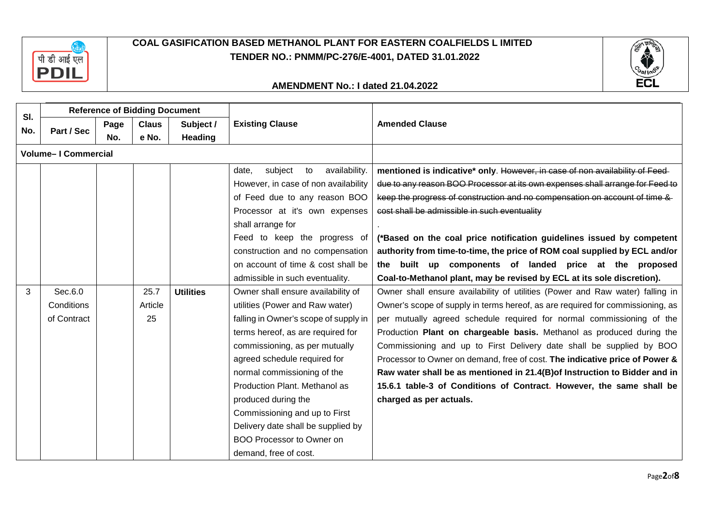



| SI. |                            |      | <b>Reference of Bidding Document</b> |                                                                       |                                         |                                                                                |  |  |
|-----|----------------------------|------|--------------------------------------|-----------------------------------------------------------------------|-----------------------------------------|--------------------------------------------------------------------------------|--|--|
| No. | Part / Sec                 | Page | <b>Claus</b>                         | Subject /                                                             | <b>Existing Clause</b>                  | <b>Amended Clause</b>                                                          |  |  |
|     |                            | No.  | e No.                                | <b>Heading</b>                                                        |                                         |                                                                                |  |  |
|     | <b>Volume-I Commercial</b> |      |                                      |                                                                       |                                         |                                                                                |  |  |
|     |                            |      |                                      |                                                                       | subject<br>availability.<br>date,<br>to | mentioned is indicative* only. However, in case of non availability of Feed-   |  |  |
|     |                            |      |                                      |                                                                       | However, in case of non availability    | due to any reason BOO Processor at its own expenses shall arrange for Feed to  |  |  |
|     |                            |      |                                      |                                                                       | of Feed due to any reason BOO           | keep the progress of construction and no compensation on account of time &     |  |  |
|     |                            |      |                                      |                                                                       | Processor at it's own expenses          | cost shall be admissible in such eventuality                                   |  |  |
|     |                            |      |                                      |                                                                       | shall arrange for                       |                                                                                |  |  |
|     |                            |      | Feed to keep the progress of         | (*Based on the coal price notification guidelines issued by competent |                                         |                                                                                |  |  |
|     |                            |      |                                      |                                                                       | construction and no compensation        | authority from time-to-time, the price of ROM coal supplied by ECL and/or      |  |  |
|     |                            |      |                                      |                                                                       | on account of time & cost shall be      | the built up components of landed price at the proposed                        |  |  |
|     |                            |      |                                      |                                                                       | admissible in such eventuality.         | Coal-to-Methanol plant, may be revised by ECL at its sole discretion).         |  |  |
| 3   | Sec.6.0                    |      | 25.7                                 | <b>Utilities</b>                                                      | Owner shall ensure availability of      | Owner shall ensure availability of utilities (Power and Raw water) falling in  |  |  |
|     | Conditions                 |      | Article                              |                                                                       | utilities (Power and Raw water)         | Owner's scope of supply in terms hereof, as are required for commissioning, as |  |  |
|     | of Contract                |      | 25                                   |                                                                       | falling in Owner's scope of supply in   | per mutually agreed schedule required for normal commissioning of the          |  |  |
|     |                            |      |                                      |                                                                       | terms hereof, as are required for       | Production Plant on chargeable basis. Methanol as produced during the          |  |  |
|     |                            |      |                                      |                                                                       | commissioning, as per mutually          | Commissioning and up to First Delivery date shall be supplied by BOO           |  |  |
|     |                            |      |                                      |                                                                       | agreed schedule required for            | Processor to Owner on demand, free of cost. The indicative price of Power &    |  |  |
|     |                            |      |                                      |                                                                       | normal commissioning of the             | Raw water shall be as mentioned in 21.4(B) of Instruction to Bidder and in     |  |  |
|     |                            |      |                                      |                                                                       | Production Plant. Methanol as           | 15.6.1 table-3 of Conditions of Contract. However, the same shall be           |  |  |
|     |                            |      |                                      |                                                                       | produced during the                     | charged as per actuals.                                                        |  |  |
|     |                            |      |                                      |                                                                       | Commissioning and up to First           |                                                                                |  |  |
|     |                            |      |                                      |                                                                       | Delivery date shall be supplied by      |                                                                                |  |  |
|     |                            |      |                                      |                                                                       | <b>BOO Processor to Owner on</b>        |                                                                                |  |  |
|     |                            |      |                                      |                                                                       | demand, free of cost.                   |                                                                                |  |  |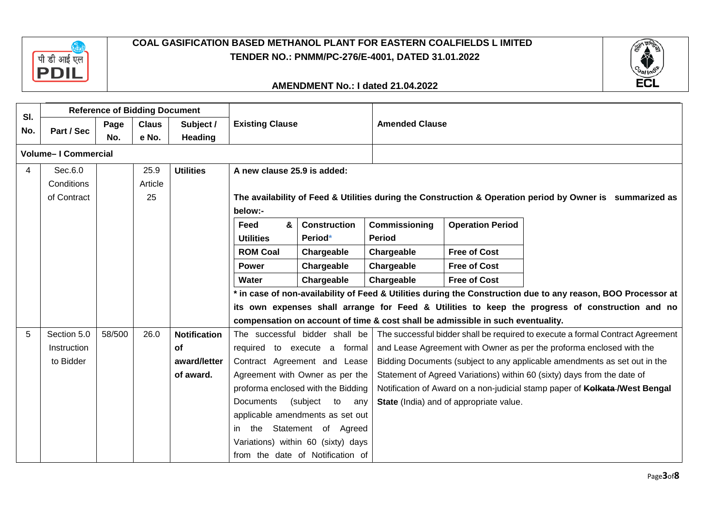



|     | <b>Reference of Bidding Document</b> |        |              |                     |                                                                                                           |                                    |               |                                                                                 |                                                                                                               |  |  |
|-----|--------------------------------------|--------|--------------|---------------------|-----------------------------------------------------------------------------------------------------------|------------------------------------|---------------|---------------------------------------------------------------------------------|---------------------------------------------------------------------------------------------------------------|--|--|
| SI. |                                      | Page   | <b>Claus</b> | Subject /           | <b>Existing Clause</b>                                                                                    |                                    |               | <b>Amended Clause</b>                                                           |                                                                                                               |  |  |
| No. | Part / Sec                           | No.    | e No.        | Heading             |                                                                                                           |                                    |               |                                                                                 |                                                                                                               |  |  |
|     | <b>Volume-I Commercial</b>           |        |              |                     |                                                                                                           |                                    |               |                                                                                 |                                                                                                               |  |  |
| 4   | Sec.6.0                              |        | 25.9         | <b>Utilities</b>    | A new clause 25.9 is added:                                                                               |                                    |               |                                                                                 |                                                                                                               |  |  |
|     | Conditions                           |        | Article      |                     |                                                                                                           |                                    |               |                                                                                 |                                                                                                               |  |  |
|     | of Contract                          |        | 25           |                     | The availability of Feed & Utilities during the Construction & Operation period by Owner is summarized as |                                    |               |                                                                                 |                                                                                                               |  |  |
|     |                                      |        |              |                     | below:-                                                                                                   |                                    |               |                                                                                 |                                                                                                               |  |  |
|     |                                      |        |              |                     | Feed<br>&                                                                                                 | <b>Construction</b>                | Commissioning | <b>Operation Period</b>                                                         |                                                                                                               |  |  |
|     |                                      |        |              |                     | <b>Utilities</b>                                                                                          | Period*                            | <b>Period</b> |                                                                                 |                                                                                                               |  |  |
|     |                                      |        |              |                     | <b>ROM Coal</b>                                                                                           | Chargeable                         | Chargeable    | <b>Free of Cost</b>                                                             |                                                                                                               |  |  |
|     |                                      |        |              |                     | <b>Power</b>                                                                                              | Chargeable                         | Chargeable    | <b>Free of Cost</b>                                                             |                                                                                                               |  |  |
|     |                                      |        |              |                     | Water                                                                                                     | Chargeable                         | Chargeable    | <b>Free of Cost</b>                                                             |                                                                                                               |  |  |
|     |                                      |        |              |                     |                                                                                                           |                                    |               |                                                                                 | * in case of non-availability of Feed & Utilities during the Construction due to any reason, BOO Processor at |  |  |
|     |                                      |        |              |                     |                                                                                                           |                                    |               |                                                                                 | its own expenses shall arrange for Feed & Utilities to keep the progress of construction and no               |  |  |
|     |                                      |        |              |                     |                                                                                                           |                                    |               | compensation on account of time & cost shall be admissible in such eventuality. |                                                                                                               |  |  |
| 5   | Section 5.0                          | 58/500 | 26.0         | <b>Notification</b> |                                                                                                           | The successful bidder shall be     |               |                                                                                 | The successful bidder shall be required to execute a formal Contract Agreement                                |  |  |
|     | Instruction                          |        |              | of                  |                                                                                                           | required to execute a formal       |               |                                                                                 | and Lease Agreement with Owner as per the proforma enclosed with the                                          |  |  |
|     | to Bidder                            |        |              | award/letter        |                                                                                                           | Contract Agreement and Lease       |               |                                                                                 | Bidding Documents (subject to any applicable amendments as set out in the                                     |  |  |
|     |                                      |        |              | of award.           |                                                                                                           | Agreement with Owner as per the    |               |                                                                                 | Statement of Agreed Variations) within 60 (sixty) days from the date of                                       |  |  |
|     |                                      |        |              |                     |                                                                                                           | proforma enclosed with the Bidding |               |                                                                                 | Notification of Award on a non-judicial stamp paper of Kolkata-/West Bengal                                   |  |  |
|     |                                      |        |              |                     | <b>Documents</b>                                                                                          | (subject<br>to any                 |               | State (India) and of appropriate value.                                         |                                                                                                               |  |  |
|     |                                      |        |              |                     |                                                                                                           | applicable amendments as set out   |               |                                                                                 |                                                                                                               |  |  |
|     |                                      |        |              |                     |                                                                                                           | in the Statement of Agreed         |               |                                                                                 |                                                                                                               |  |  |
|     |                                      |        |              |                     |                                                                                                           | Variations) within 60 (sixty) days |               |                                                                                 |                                                                                                               |  |  |
|     |                                      |        |              |                     |                                                                                                           | from the date of Notification of   |               |                                                                                 |                                                                                                               |  |  |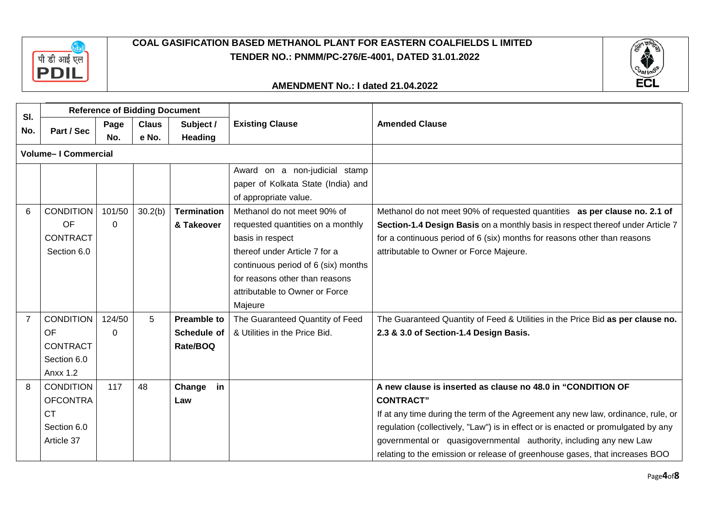



|     | <b>Reference of Bidding Document</b> |              |              |                    |                                     |                                                                                   |
|-----|--------------------------------------|--------------|--------------|--------------------|-------------------------------------|-----------------------------------------------------------------------------------|
| SI. |                                      | Page         | <b>Claus</b> | Subject /          | <b>Existing Clause</b>              | <b>Amended Clause</b>                                                             |
| No. | Part / Sec                           | e No.<br>No. |              | <b>Heading</b>     |                                     |                                                                                   |
|     | <b>Volume-I Commercial</b>           |              |              |                    |                                     |                                                                                   |
|     |                                      |              |              |                    | Award on a non-judicial stamp       |                                                                                   |
|     |                                      |              |              |                    | paper of Kolkata State (India) and  |                                                                                   |
|     |                                      |              |              |                    | of appropriate value.               |                                                                                   |
| 6   | <b>CONDITION</b>                     | 101/50       | 30.2(b)      | <b>Termination</b> | Methanol do not meet 90% of         | Methanol do not meet 90% of requested quantities as per clause no. 2.1 of         |
|     | OF                                   | $\Omega$     |              | & Takeover         | requested quantities on a monthly   | Section-1.4 Design Basis on a monthly basis in respect thereof under Article 7    |
|     | <b>CONTRACT</b>                      |              |              |                    | basis in respect                    | for a continuous period of 6 (six) months for reasons other than reasons          |
|     | Section 6.0                          |              |              |                    | thereof under Article 7 for a       | attributable to Owner or Force Majeure.                                           |
|     |                                      |              |              |                    | continuous period of 6 (six) months |                                                                                   |
|     |                                      |              |              |                    | for reasons other than reasons      |                                                                                   |
|     |                                      |              |              |                    | attributable to Owner or Force      |                                                                                   |
|     |                                      |              |              |                    | Majeure                             |                                                                                   |
|     | <b>CONDITION</b>                     | 124/50       | 5            | <b>Preamble to</b> | The Guaranteed Quantity of Feed     | The Guaranteed Quantity of Feed & Utilities in the Price Bid as per clause no.    |
|     | <b>OF</b>                            | $\Omega$     |              | Schedule of        | & Utilities in the Price Bid.       | 2.3 & 3.0 of Section-1.4 Design Basis.                                            |
|     | <b>CONTRACT</b>                      |              |              | Rate/BOQ           |                                     |                                                                                   |
|     | Section 6.0                          |              |              |                    |                                     |                                                                                   |
|     | <b>Anxx 1.2</b>                      |              |              |                    |                                     |                                                                                   |
| 8   | <b>CONDITION</b>                     | 117          | 48           | Change<br>in       |                                     | A new clause is inserted as clause no 48.0 in "CONDITION OF                       |
|     | <b>OFCONTRA</b>                      |              |              | Law                |                                     | <b>CONTRACT"</b>                                                                  |
|     | <b>CT</b>                            |              |              |                    |                                     | If at any time during the term of the Agreement any new law, ordinance, rule, or  |
|     | Section 6.0                          |              |              |                    |                                     | regulation (collectively, "Law") is in effect or is enacted or promulgated by any |
|     | Article 37                           |              |              |                    |                                     | governmental or quasigovernmental authority, including any new Law                |
|     |                                      |              |              |                    |                                     | relating to the emission or release of greenhouse gases, that increases BOO       |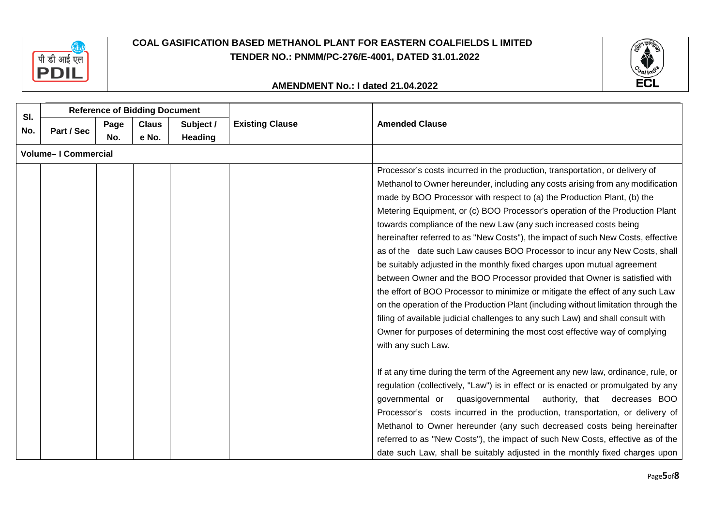



|                            | <b>Reference of Bidding Document</b> |      |              |                |                        |                                                                                    |  |
|----------------------------|--------------------------------------|------|--------------|----------------|------------------------|------------------------------------------------------------------------------------|--|
| SI.                        |                                      | Page | <b>Claus</b> | Subject /      | <b>Existing Clause</b> | <b>Amended Clause</b>                                                              |  |
| No.                        | Part / Sec                           | No.  | e No.        | <b>Heading</b> |                        |                                                                                    |  |
| <b>Volume-I Commercial</b> |                                      |      |              |                |                        |                                                                                    |  |
|                            |                                      |      |              |                |                        | Processor's costs incurred in the production, transportation, or delivery of       |  |
|                            |                                      |      |              |                |                        | Methanol to Owner hereunder, including any costs arising from any modification     |  |
|                            |                                      |      |              |                |                        | made by BOO Processor with respect to (a) the Production Plant, (b) the            |  |
|                            |                                      |      |              |                |                        | Metering Equipment, or (c) BOO Processor's operation of the Production Plant       |  |
|                            |                                      |      |              |                |                        | towards compliance of the new Law (any such increased costs being                  |  |
|                            |                                      |      |              |                |                        | hereinafter referred to as "New Costs"), the impact of such New Costs, effective   |  |
|                            |                                      |      |              |                |                        | as of the date such Law causes BOO Processor to incur any New Costs, shall         |  |
|                            |                                      |      |              |                |                        | be suitably adjusted in the monthly fixed charges upon mutual agreement            |  |
|                            |                                      |      |              |                |                        | between Owner and the BOO Processor provided that Owner is satisfied with          |  |
|                            |                                      |      |              |                |                        | the effort of BOO Processor to minimize or mitigate the effect of any such Law     |  |
|                            |                                      |      |              |                |                        | on the operation of the Production Plant (including without limitation through the |  |
|                            |                                      |      |              |                |                        | filing of available judicial challenges to any such Law) and shall consult with    |  |
|                            |                                      |      |              |                |                        | Owner for purposes of determining the most cost effective way of complying         |  |
|                            |                                      |      |              |                |                        | with any such Law.                                                                 |  |
|                            |                                      |      |              |                |                        |                                                                                    |  |
|                            |                                      |      |              |                |                        | If at any time during the term of the Agreement any new law, ordinance, rule, or   |  |
|                            |                                      |      |              |                |                        | regulation (collectively, "Law") is in effect or is enacted or promulgated by any  |  |
|                            |                                      |      |              |                |                        | authority, that decreases BOO<br>governmental or<br>quasigovernmental              |  |
|                            |                                      |      |              |                |                        | Processor's costs incurred in the production, transportation, or delivery of       |  |
|                            |                                      |      |              |                |                        | Methanol to Owner hereunder (any such decreased costs being hereinafter            |  |
|                            |                                      |      |              |                |                        | referred to as "New Costs"), the impact of such New Costs, effective as of the     |  |
|                            |                                      |      |              |                |                        | date such Law, shall be suitably adjusted in the monthly fixed charges upon        |  |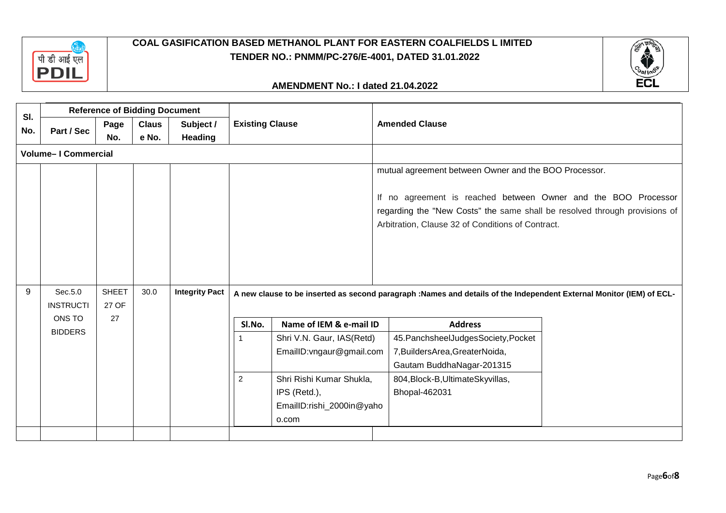



|     | <b>Reference of Bidding Document</b> |                               |              |                       |                        |                           |                                                                                                                                                                                                   |  |
|-----|--------------------------------------|-------------------------------|--------------|-----------------------|------------------------|---------------------------|---------------------------------------------------------------------------------------------------------------------------------------------------------------------------------------------------|--|
| SI. |                                      | Page                          | <b>Claus</b> | Subject /             | <b>Existing Clause</b> |                           | <b>Amended Clause</b>                                                                                                                                                                             |  |
| No. | Part / Sec                           | No.                           | e No.        | <b>Heading</b>        |                        |                           |                                                                                                                                                                                                   |  |
|     | <b>Volume-I Commercial</b>           |                               |              |                       |                        |                           |                                                                                                                                                                                                   |  |
|     |                                      |                               |              |                       |                        |                           | mutual agreement between Owner and the BOO Processor.                                                                                                                                             |  |
|     |                                      |                               |              |                       |                        |                           | If no agreement is reached between Owner and the BOO Processor<br>regarding the "New Costs" the same shall be resolved through provisions of<br>Arbitration, Clause 32 of Conditions of Contract. |  |
| 9   | Sec.5.0<br><b>INSTRUCTI</b>          | <b>SHEET</b><br>30.0<br>27 OF |              | <b>Integrity Pact</b> |                        |                           | A new clause to be inserted as second paragraph :Names and details of the Independent External Monitor (IEM) of ECL-                                                                              |  |
|     | ONS TO                               | 27                            |              |                       | SI.No.                 | Name of IEM & e-mail ID   | <b>Address</b>                                                                                                                                                                                    |  |
|     | <b>BIDDERS</b>                       |                               |              |                       |                        | Shri V.N. Gaur, IAS(Retd) | 45. Panchsheel Judges Society, Pocket                                                                                                                                                             |  |
|     |                                      |                               |              |                       |                        | EmailID: vngaur@gmail.com | 7, Builders Area, Greater Noida,                                                                                                                                                                  |  |
|     |                                      |                               |              |                       |                        |                           | Gautam BuddhaNagar-201315                                                                                                                                                                         |  |
|     |                                      |                               |              |                       | $\overline{2}$         | Shri Rishi Kumar Shukla,  | 804, Block-B, Ultimate Skyvillas,                                                                                                                                                                 |  |
|     |                                      |                               |              |                       |                        | IPS (Retd.),              | Bhopal-462031                                                                                                                                                                                     |  |
|     |                                      |                               |              |                       |                        | EmailID:rishi_2000in@yaho |                                                                                                                                                                                                   |  |
|     |                                      |                               |              |                       |                        | o.com                     |                                                                                                                                                                                                   |  |
|     |                                      |                               |              |                       |                        |                           |                                                                                                                                                                                                   |  |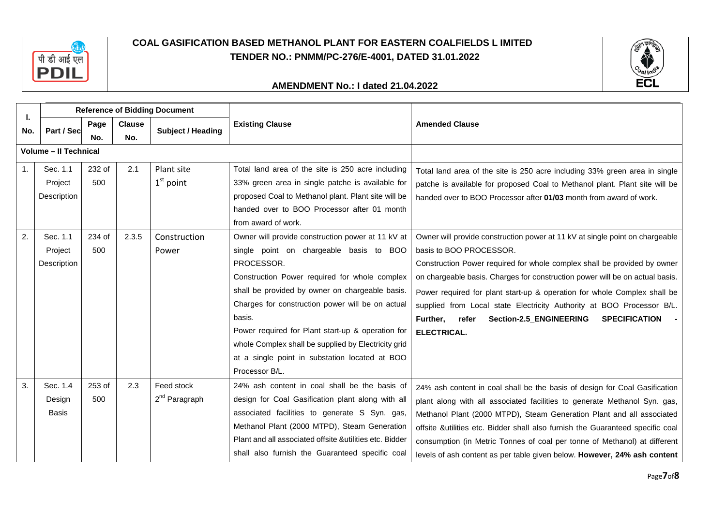



| ı.  | <b>Reference of Bidding Document</b> |        |               |                           |                                                         |                                                                                |
|-----|--------------------------------------|--------|---------------|---------------------------|---------------------------------------------------------|--------------------------------------------------------------------------------|
| No. | Part / Sec                           | Page   | <b>Clause</b> | <b>Subject / Heading</b>  | <b>Existing Clause</b>                                  | <b>Amended Clause</b>                                                          |
|     |                                      | No.    | No.           |                           |                                                         |                                                                                |
|     | <b>Volume - Il Technical</b>         |        |               |                           |                                                         |                                                                                |
| 1.  | Sec. 1.1                             | 232 of | 2.1           | Plant site                | Total land area of the site is 250 acre including       | Total land area of the site is 250 acre including 33% green area in single     |
|     | Project                              | 500    |               | $1st$ point               | 33% green area in single patche is available for        | patche is available for proposed Coal to Methanol plant. Plant site will be    |
|     | Description                          |        |               |                           | proposed Coal to Methanol plant. Plant site will be     | handed over to BOO Processor after 04/03 month from award of work.             |
|     |                                      |        |               |                           | handed over to BOO Processor after 01 month             |                                                                                |
|     |                                      |        |               |                           | from award of work.                                     |                                                                                |
| 2.  | Sec. 1.1                             | 234 of | 2.3.5         | Construction              | Owner will provide construction power at 11 kV at       | Owner will provide construction power at 11 kV at single point on chargeable   |
|     | Project                              | 500    |               | Power                     | single point on chargeable basis to BOO                 | basis to BOO PROCESSOR.                                                        |
|     | Description                          |        |               |                           | PROCESSOR.                                              | Construction Power required for whole complex shall be provided by owner       |
|     |                                      |        |               |                           | Construction Power required for whole complex           | on chargeable basis. Charges for construction power will be on actual basis.   |
|     |                                      |        |               |                           | shall be provided by owner on chargeable basis.         | Power required for plant start-up & operation for whole Complex shall be       |
|     |                                      |        |               |                           | Charges for construction power will be on actual        | supplied from Local state Electricity Authority at BOO Processor B/L.          |
|     |                                      |        |               |                           | basis.                                                  | Further,<br>refer<br>Section-2.5_ENGINEERING<br>SPECIFICATION -                |
|     |                                      |        |               |                           | Power required for Plant start-up & operation for       | <b>ELECTRICAL.</b>                                                             |
|     |                                      |        |               |                           | whole Complex shall be supplied by Electricity grid     |                                                                                |
|     |                                      |        |               |                           | at a single point in substation located at BOO          |                                                                                |
|     |                                      |        |               |                           | Processor B/L.                                          |                                                                                |
| 3.  | Sec. 1.4                             | 253 of | 2.3           | Feed stock                | 24% ash content in coal shall be the basis of           | 24% ash content in coal shall be the basis of design for Coal Gasification     |
|     | Design                               | 500    |               | 2 <sup>nd</sup> Paragraph | design for Coal Gasification plant along with all       | plant along with all associated facilities to generate Methanol Syn. gas,      |
|     | <b>Basis</b>                         |        |               |                           | associated facilities to generate S Syn. gas,           | Methanol Plant (2000 MTPD), Steam Generation Plant and all associated          |
|     |                                      |        |               |                           | Methanol Plant (2000 MTPD), Steam Generation            | offsite &utilities etc. Bidder shall also furnish the Guaranteed specific coal |
|     |                                      |        |               |                           | Plant and all associated offsite &utilities etc. Bidder | consumption (in Metric Tonnes of coal per tonne of Methanol) at different      |
|     |                                      |        |               |                           | shall also furnish the Guaranteed specific coal         | levels of ash content as per table given below. However, 24% ash content       |